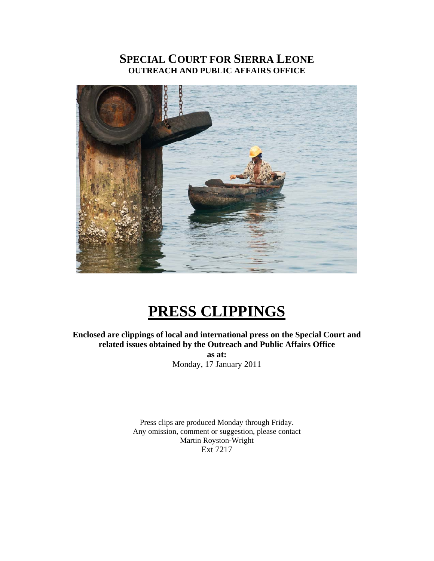# **SPECIAL COURT FOR SIERRA LEONE OUTREACH AND PUBLIC AFFAIRS OFFICE**



# **PRESS CLIPPINGS**

**Enclosed are clippings of local and international press on the Special Court and related issues obtained by the Outreach and Public Affairs Office as at:**  Monday, 17 January 2011

> Press clips are produced Monday through Friday. Any omission, comment or suggestion, please contact Martin Royston-Wright Ext 7217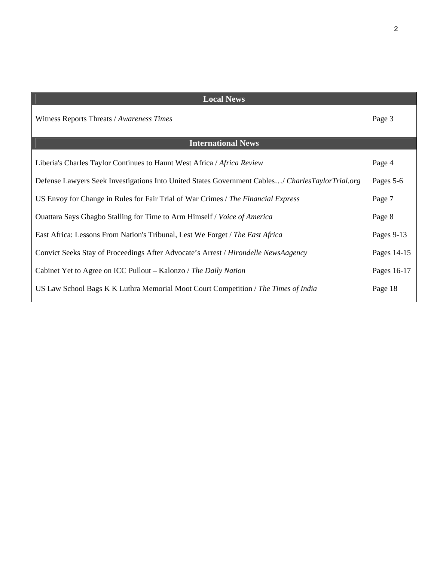| <b>Local News</b>                                                                                |             |
|--------------------------------------------------------------------------------------------------|-------------|
| Witness Reports Threats / Awareness Times                                                        | Page 3      |
| <b>International News</b>                                                                        |             |
| Liberia's Charles Taylor Continues to Haunt West Africa / Africa Review                          | Page 4      |
| Defense Lawyers Seek Investigations Into United States Government Cables/ CharlesTaylorTrial.org | Pages 5-6   |
| US Envoy for Change in Rules for Fair Trial of War Crimes / The Financial Express                | Page 7      |
| Ouattara Says Gbagbo Stalling for Time to Arm Himself / Voice of America                         | Page 8      |
| East Africa: Lessons From Nation's Tribunal, Lest We Forget / The East Africa                    | Pages 9-13  |
| Convict Seeks Stay of Proceedings After Advocate's Arrest / Hirondelle NewsAagency               | Pages 14-15 |
| Cabinet Yet to Agree on ICC Pullout – Kalonzo / The Daily Nation                                 | Pages 16-17 |
| US Law School Bags K K Luthra Memorial Moot Court Competition / The Times of India               | Page 18     |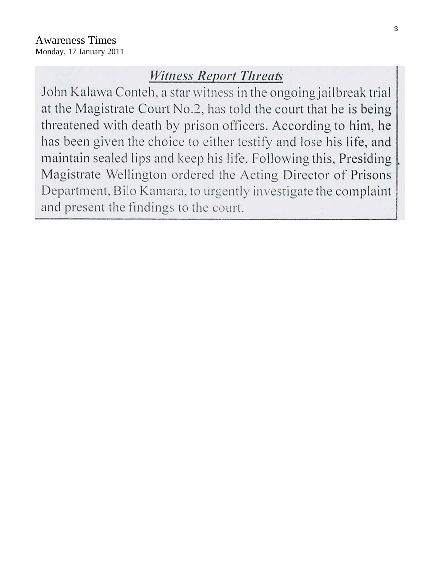# **Witness Report Threats**

John Kalawa Conteh, a star witness in the ongoing jailbreak trial at the Magistrate Court No.2, has told the court that he is being threatened with death by prison officers. According to him, he has been given the choice to either testify and lose his life, and maintain sealed lips and keep his life. Following this, Presiding Magistrate Wellington ordered the Acting Director of Prisons Department, Bilo Kamara, to urgently investigate the complaint and present the findings to the court.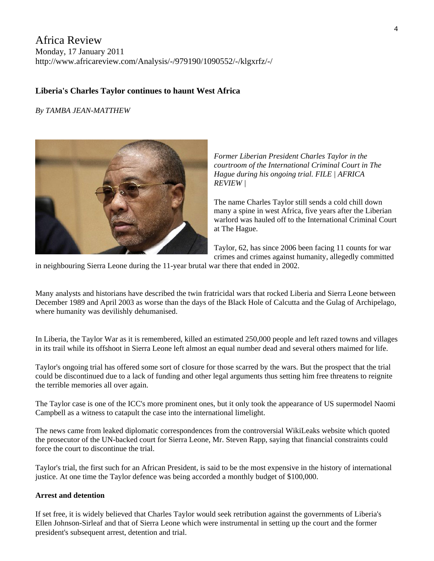# Africa Review Monday, 17 January 2011 http://www.africareview.com/Analysis/-/979190/1090552/-/klgxrfz/-/

#### **Liberia's Charles Taylor continues to haunt West Africa**

#### *By TAMBA JEAN-MATTHEW*

*Former Liberian President Charles Taylor in the courtroom of the International Criminal Court in The Hague during his ongoing trial. FILE | AFRICA REVIEW |* 

The name Charles Taylor still sends a cold chill down many a spine in west Africa, five years after the Liberian warlord was hauled off to the International Criminal Court at The Hague.

Taylor, 62, has since 2006 been facing 11 counts for war crimes and crimes against humanity, allegedly committed

in neighbouring Sierra Leone during the 11-year brutal war there that ended in 2002.

Many analysts and historians have described the twin fratricidal wars that rocked Liberia and Sierra Leone between December 1989 and April 2003 as worse than the days of the Black Hole of Calcutta and the Gulag of Archipelago, where humanity was devilishly dehumanised.

In Liberia, the Taylor War as it is remembered, killed an estimated 250,000 people and left razed towns and villages in its trail while its offshoot in Sierra Leone left almost an equal number dead and several others maimed for life.

Taylor's ongoing trial has offered some sort of closure for those scarred by the wars. But the prospect that the trial could be discontinued due to a lack of funding and other legal arguments thus setting him free threatens to reignite the terrible memories all over again.

The Taylor case is one of the ICC's more prominent ones, but it only took the appearance of US supermodel Naomi Campbell as a witness to catapult the case into the international limelight.

The news came from leaked diplomatic correspondences from the controversial WikiLeaks website which quoted the prosecutor of the UN-backed court for Sierra Leone, Mr. Steven Rapp, saying that financial constraints could force the court to discontinue the trial.

Taylor's trial, the first such for an African President, is said to be the most expensive in the history of international justice. At one time the Taylor defence was being accorded a monthly budget of \$100,000.

#### **Arrest and detention**

If set free, it is widely believed that Charles Taylor would seek retribution against the governments of Liberia's Ellen Johnson-Sirleaf and that of Sierra Leone which were instrumental in setting up the court and the former president's subsequent arrest, detention and trial.

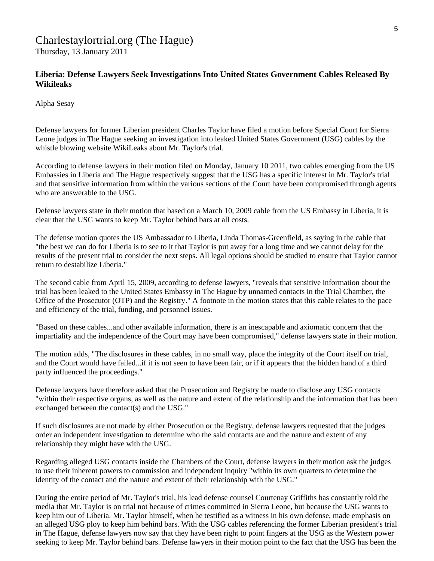# Charlestaylortrial.org (The Hague)

Thursday, 13 January 2011

### **Liberia: Defense Lawyers Seek Investigations Into United States Government Cables Released By Wikileaks**

Alpha Sesay

Defense lawyers for former Liberian president Charles Taylor have filed a motion before Special Court for Sierra Leone judges in The Hague seeking an investigation into leaked United States Government (USG) cables by the whistle blowing website WikiLeaks about Mr. Taylor's trial.

According to defense lawyers in their motion filed on Monday, January 10 2011, two cables emerging from the US Embassies in Liberia and The Hague respectively suggest that the USG has a specific interest in Mr. Taylor's trial and that sensitive information from within the various sections of the Court have been compromised through agents who are answerable to the USG.

Defense lawyers state in their motion that based on a March 10, 2009 cable from the US Embassy in Liberia, it is clear that the USG wants to keep Mr. Taylor behind bars at all costs.

The defense motion quotes the US Ambassador to Liberia, Linda Thomas-Greenfield, as saying in the cable that "the best we can do for Liberia is to see to it that Taylor is put away for a long time and we cannot delay for the results of the present trial to consider the next steps. All legal options should be studied to ensure that Taylor cannot return to destabilize Liberia."

The second cable from April 15, 2009, according to defense lawyers, "reveals that sensitive information about the trial has been leaked to the United States Embassy in The Hague by unnamed contacts in the Trial Chamber, the Office of the Prosecutor (OTP) and the Registry." A footnote in the motion states that this cable relates to the pace and efficiency of the trial, funding, and personnel issues.

"Based on these cables...and other available information, there is an inescapable and axiomatic concern that the impartiality and the independence of the Court may have been compromised," defense lawyers state in their motion.

The motion adds, "The disclosures in these cables, in no small way, place the integrity of the Court itself on trial, and the Court would have failed...if it is not seen to have been fair, or if it appears that the hidden hand of a third party influenced the proceedings."

Defense lawyers have therefore asked that the Prosecution and Registry be made to disclose any USG contacts "within their respective organs, as well as the nature and extent of the relationship and the information that has been exchanged between the contact(s) and the USG."

If such disclosures are not made by either Prosecution or the Registry, defense lawyers requested that the judges order an independent investigation to determine who the said contacts are and the nature and extent of any relationship they might have with the USG.

Regarding alleged USG contacts inside the Chambers of the Court, defense lawyers in their motion ask the judges to use their inherent powers to commission and independent inquiry "within its own quarters to determine the identity of the contact and the nature and extent of their relationship with the USG."

During the entire period of Mr. Taylor's trial, his lead defense counsel Courtenay Griffiths has constantly told the media that Mr. Taylor is on trial not because of crimes committed in Sierra Leone, but because the USG wants to keep him out of Liberia. Mr. Taylor himself, when he testified as a witness in his own defense, made emphasis on an alleged USG ploy to keep him behind bars. With the USG cables referencing the former Liberian president's trial in The Hague, defense lawyers now say that they have been right to point fingers at the USG as the Western power seeking to keep Mr. Taylor behind bars. Defense lawyers in their motion point to the fact that the USG has been the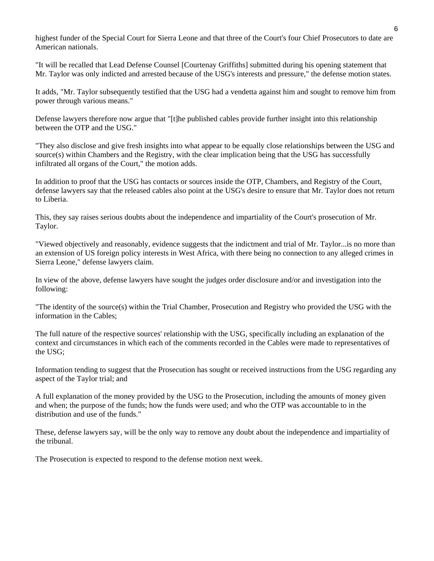highest funder of the Special Court for Sierra Leone and that three of the Court's four Chief Prosecutors to date are American nationals.

"It will be recalled that Lead Defense Counsel [Courtenay Griffiths] submitted during his opening statement that Mr. Taylor was only indicted and arrested because of the USG's interests and pressure," the defense motion states.

It adds, "Mr. Taylor subsequently testified that the USG had a vendetta against him and sought to remove him from power through various means."

Defense lawyers therefore now argue that "[t]he published cables provide further insight into this relationship between the OTP and the USG."

"They also disclose and give fresh insights into what appear to be equally close relationships between the USG and source(s) within Chambers and the Registry, with the clear implication being that the USG has successfully infiltrated all organs of the Court," the motion adds.

In addition to proof that the USG has contacts or sources inside the OTP, Chambers, and Registry of the Court, defense lawyers say that the released cables also point at the USG's desire to ensure that Mr. Taylor does not return to Liberia.

This, they say raises serious doubts about the independence and impartiality of the Court's prosecution of Mr. Taylor.

"Viewed objectively and reasonably, evidence suggests that the indictment and trial of Mr. Taylor...is no more than an extension of US foreign policy interests in West Africa, with there being no connection to any alleged crimes in Sierra Leone," defense lawyers claim.

In view of the above, defense lawyers have sought the judges order disclosure and/or and investigation into the following:

"The identity of the source(s) within the Trial Chamber, Prosecution and Registry who provided the USG with the information in the Cables;

The full nature of the respective sources' relationship with the USG, specifically including an explanation of the context and circumstances in which each of the comments recorded in the Cables were made to representatives of the USG;

Information tending to suggest that the Prosecution has sought or received instructions from the USG regarding any aspect of the Taylor trial; and

A full explanation of the money provided by the USG to the Prosecution, including the amounts of money given and when; the purpose of the funds; how the funds were used; and who the OTP was accountable to in the distribution and use of the funds."

These, defense lawyers say, will be the only way to remove any doubt about the independence and impartiality of the tribunal.

The Prosecution is expected to respond to the defense motion next week.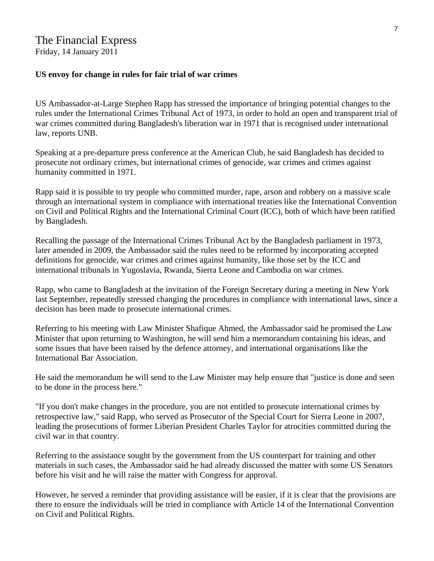# The Financial Express

Friday, 14 January 2011

## **US envoy for change in rules for fair trial of war crimes**

US Ambassador-at-Large Stephen Rapp has stressed the importance of bringing potential changes to the rules under the International Crimes Tribunal Act of 1973, in order to hold an open and transparent trial of war crimes committed during Bangladesh's liberation war in 1971 that is recognised under international law, reports UNB.

Speaking at a pre-departure press conference at the American Club, he said Bangladesh has decided to prosecute not ordinary crimes, but international crimes of genocide, war crimes and crimes against humanity committed in 1971.

Rapp said it is possible to try people who committed murder, rape, arson and robbery on a massive scale through an international system in compliance with international treaties like the International Convention on Civil and Political Rights and the International Criminal Court (ICC), both of which have been ratified by Bangladesh.

Recalling the passage of the International Crimes Tribunal Act by the Bangladesh parliament in 1973, later amended in 2009, the Ambassador said the rules need to be reformed by incorporating accepted definitions for genocide, war crimes and crimes against humanity, like those set by the ICC and international tribunals in Yugoslavia, Rwanda, Sierra Leone and Cambodia on war crimes.

Rapp, who came to Bangladesh at the invitation of the Foreign Secretary during a meeting in New York last September, repeatedly stressed changing the procedures in compliance with international laws, since a decision has been made to prosecute international crimes.

Referring to his meeting with Law Minister Shafique Ahmed, the Ambassador said he promised the Law Minister that upon returning to Washington, he will send him a memorandum containing his ideas, and some issues that have been raised by the defence attorney, and international organisations like the International Bar Association.

He said the memorandum he will send to the Law Minister may help ensure that "justice is done and seen to be done in the process here."

"If you don't make changes in the procedure, you are not entitled to prosecute international crimes by retrospective law," said Rapp, who served as Prosecutor of the Special Court for Sierra Leone in 2007, leading the prosecutions of former Liberian President Charles Taylor for atrocities committed during the civil war in that country.

Referring to the assistance sought by the government from the US counterpart for training and other materials in such cases, the Ambassador said he had already discussed the matter with some US Senators before his visit and he will raise the matter with Congress for approval.

However, he served a reminder that providing assistance will be easier, if it is clear that the provisions are there to ensure the individuals will be tried in compliance with Article 14 of the International Convention on Civil and Political Rights.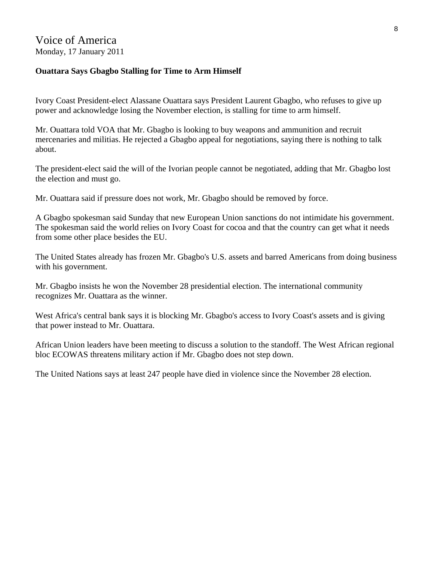# Voice of America Monday, 17 January 2011

## **Ouattara Says Gbagbo Stalling for Time to Arm Himself**

Ivory Coast President-elect Alassane Ouattara says President Laurent Gbagbo, who refuses to give up power and acknowledge losing the November election, is stalling for time to arm himself.

Mr. Ouattara told VOA that Mr. Gbagbo is looking to buy weapons and ammunition and recruit mercenaries and militias. He rejected a Gbagbo appeal for negotiations, saying there is nothing to talk about.

The president-elect said the will of the Ivorian people cannot be negotiated, adding that Mr. Gbagbo lost the election and must go.

Mr. Ouattara said if pressure does not work, Mr. Gbagbo should be removed by force.

A Gbagbo spokesman said Sunday that new European Union sanctions do not intimidate his government. The spokesman said the world relies on Ivory Coast for cocoa and that the country can get what it needs from some other place besides the EU.

The United States already has frozen Mr. Gbagbo's U.S. assets and barred Americans from doing business with his government.

Mr. Gbagbo insists he won the November 28 presidential election. The international community recognizes Mr. Ouattara as the winner.

West Africa's central bank says it is blocking Mr. Gbagbo's access to Ivory Coast's assets and is giving that power instead to Mr. Ouattara.

African Union leaders have been meeting to discuss a solution to the standoff. The West African regional bloc ECOWAS threatens military action if Mr. Gbagbo does not step down.

The United Nations says at least 247 people have died in violence since the November 28 election.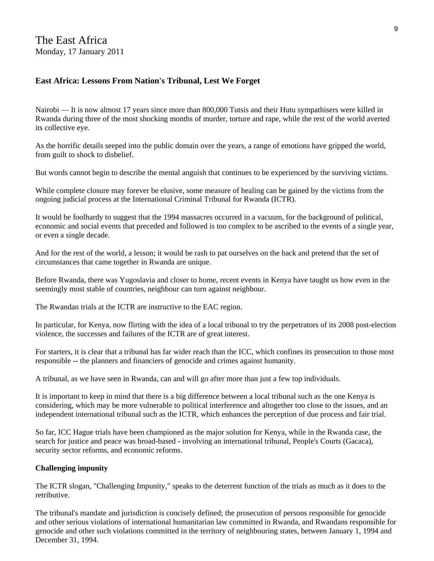## **East Africa: Lessons From Nation's Tribunal, Lest We Forget**

Nairobi — It is now almost 17 years since more than 800,000 Tutsis and their Hutu sympathisers were killed in Rwanda during three of the most shocking months of murder, torture and rape, while the rest of the world averted its collective eye.

As the horrific details seeped into the public domain over the years, a range of emotions have gripped the world, from guilt to shock to disbelief.

But words cannot begin to describe the mental anguish that continues to be experienced by the surviving victims.

While complete closure may forever be elusive, some measure of healing can be gained by the victims from the ongoing judicial process at the International Criminal Tribunal for Rwanda (ICTR).

It would be foolhardy to suggest that the 1994 massacres occurred in a vacuum, for the background of political, economic and social events that preceded and followed is too complex to be ascribed to the events of a single year, or even a single decade.

And for the rest of the world, a lesson; it would be rash to pat ourselves on the back and pretend that the set of circumstances that came together in Rwanda are unique.

Before Rwanda, there was Yugoslavia and closer to home, recent events in Kenya have taught us how even in the seemingly most stable of countries, neighbour can turn against neighbour.

The Rwandan trials at the ICTR are instructive to the EAC region.

In particular, for Kenya, now flirting with the idea of a local tribunal to try the perpetrators of its 2008 post-election violence, the successes and failures of the ICTR are of great interest.

For starters, it is clear that a tribunal has far wider reach than the ICC, which confines its prosecution to those most responsible -- the planners and financiers of genocide and crimes against humanity.

A tribunal, as we have seen in Rwanda, can and will go after more than just a few top individuals.

It is important to keep in mind that there is a big difference between a local tribunal such as the one Kenya is considering, which may be more vulnerable to political interference and altogether too close to the issues, and an independent international tribunal such as the ICTR, which enhances the perception of due process and fair trial.

So far, ICC Hague trials have been championed as the major solution for Kenya, while in the Rwanda case, the search for justice and peace was broad-based - involving an international tribunal, People's Courts (Gacaca), security sector reforms, and economic reforms.

#### **Challenging impunity**

The ICTR slogan, "Challenging Impunity," speaks to the deterrent function of the trials as much as it does to the retributive.

The tribunal's mandate and jurisdiction is concisely defined; the prosecution of persons responsible for genocide and other serious violations of international humanitarian law committed in Rwanda, and Rwandans responsible for genocide and other such violations committed in the territory of neighbouring states, between January 1, 1994 and December 31, 1994.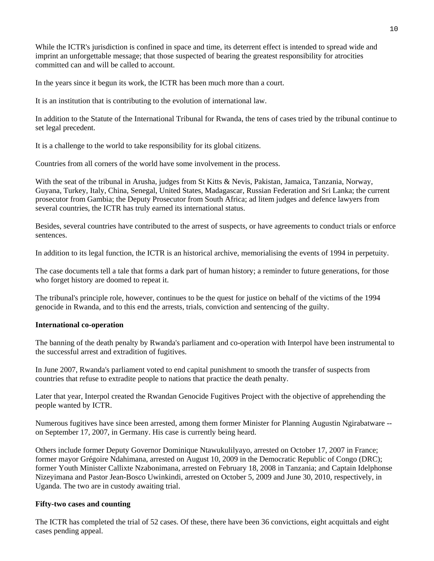While the ICTR's jurisdiction is confined in space and time, its deterrent effect is intended to spread wide and imprint an unforgettable message; that those suspected of bearing the greatest responsibility for atrocities committed can and will be called to account.

In the years since it begun its work, the ICTR has been much more than a court.

It is an institution that is contributing to the evolution of international law.

In addition to the Statute of the International Tribunal for Rwanda, the tens of cases tried by the tribunal continue to set legal precedent.

It is a challenge to the world to take responsibility for its global citizens.

Countries from all corners of the world have some involvement in the process.

With the seat of the tribunal in Arusha, judges from St Kitts & Nevis, Pakistan, Jamaica, Tanzania, Norway, Guyana, Turkey, Italy, China, Senegal, United States, Madagascar, Russian Federation and Sri Lanka; the current prosecutor from Gambia; the Deputy Prosecutor from South Africa; ad litem judges and defence lawyers from several countries, the ICTR has truly earned its international status.

Besides, several countries have contributed to the arrest of suspects, or have agreements to conduct trials or enforce sentences.

In addition to its legal function, the ICTR is an historical archive, memorialising the events of 1994 in perpetuity.

The case documents tell a tale that forms a dark part of human history; a reminder to future generations, for those who forget history are doomed to repeat it.

The tribunal's principle role, however, continues to be the quest for justice on behalf of the victims of the 1994 genocide in Rwanda, and to this end the arrests, trials, conviction and sentencing of the guilty.

#### **International co-operation**

The banning of the death penalty by Rwanda's parliament and co-operation with Interpol have been instrumental to the successful arrest and extradition of fugitives.

In June 2007, Rwanda's parliament voted to end capital punishment to smooth the transfer of suspects from countries that refuse to extradite people to nations that practice the death penalty.

Later that year, Interpol created the Rwandan Genocide Fugitives Project with the objective of apprehending the people wanted by ICTR.

Numerous fugitives have since been arrested, among them former Minister for Planning Augustin Ngirabatware - on September 17, 2007, in Germany. His case is currently being heard.

Others include former Deputy Governor Dominique Ntawukulilyayo, arrested on October 17, 2007 in France; former mayor Grégoire Ndahimana, arrested on August 10, 2009 in the Democratic Republic of Congo (DRC); former Youth Minister Callixte Nzabonimana, arrested on February 18, 2008 in Tanzania; and Captain Idelphonse Nizeyimana and Pastor Jean-Bosco Uwinkindi, arrested on October 5, 2009 and June 30, 2010, respectively, in Uganda. The two are in custody awaiting trial.

#### **Fifty-two cases and counting**

The ICTR has completed the trial of 52 cases. Of these, there have been 36 convictions, eight acquittals and eight cases pending appeal.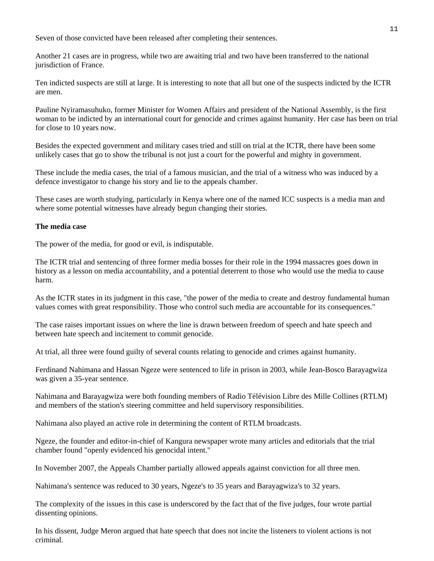Seven of those convicted have been released after completing their sentences.

Another 21 cases are in progress, while two are awaiting trial and two have been transferred to the national jurisdiction of France.

Ten indicted suspects are still at large. It is interesting to note that all but one of the suspects indicted by the ICTR are men.

Pauline Nyiramasuhuko, former Minister for Women Affairs and president of the National Assembly, is the first woman to be indicted by an international court for genocide and crimes against humanity. Her case has been on trial for close to 10 years now.

Besides the expected government and military cases tried and still on trial at the ICTR, there have been some unlikely cases that go to show the tribunal is not just a court for the powerful and mighty in government.

These include the media cases, the trial of a famous musician, and the trial of a witness who was induced by a defence investigator to change his story and lie to the appeals chamber.

These cases are worth studying, particularly in Kenya where one of the named ICC suspects is a media man and where some potential witnesses have already begun changing their stories.

#### **The media case**

The power of the media, for good or evil, is indisputable.

The ICTR trial and sentencing of three former media bosses for their role in the 1994 massacres goes down in history as a lesson on media accountability, and a potential deterrent to those who would use the media to cause harm.

As the ICTR states in its judgment in this case, "the power of the media to create and destroy fundamental human values comes with great responsibility. Those who control such media are accountable for its consequences."

The case raises important issues on where the line is drawn between freedom of speech and hate speech and between hate speech and incitement to commit genocide.

At trial, all three were found guilty of several counts relating to genocide and crimes against humanity.

Ferdinand Nahimana and Hassan Ngeze were sentenced to life in prison in 2003, while Jean-Bosco Barayagwiza was given a 35-year sentence.

Nahimana and Barayagwiza were both founding members of Radio Télévision Libre des Mille Collines (RTLM) and members of the station's steering committee and held supervisory responsibilities.

Nahimana also played an active role in determining the content of RTLM broadcasts.

Ngeze, the founder and editor-in-chief of Kangura newspaper wrote many articles and editorials that the trial chamber found "openly evidenced his genocidal intent."

In November 2007, the Appeals Chamber partially allowed appeals against conviction for all three men.

Nahimana's sentence was reduced to 30 years, Ngeze's to 35 years and Barayagwiza's to 32 years.

The complexity of the issues in this case is underscored by the fact that of the five judges, four wrote partial dissenting opinions.

In his dissent, Judge Meron argued that hate speech that does not incite the listeners to violent actions is not criminal.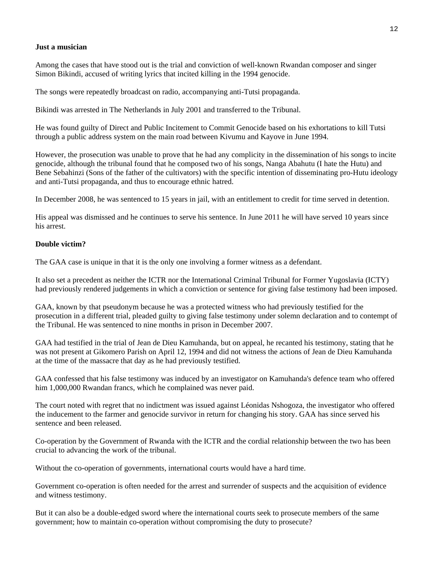#### **Just a musician**

Among the cases that have stood out is the trial and conviction of well-known Rwandan composer and singer Simon Bikindi, accused of writing lyrics that incited killing in the 1994 genocide.

The songs were repeatedly broadcast on radio, accompanying anti-Tutsi propaganda.

Bikindi was arrested in The Netherlands in July 2001 and transferred to the Tribunal.

He was found guilty of Direct and Public Incitement to Commit Genocide based on his exhortations to kill Tutsi through a public address system on the main road between Kivumu and Kayove in June 1994.

However, the prosecution was unable to prove that he had any complicity in the dissemination of his songs to incite genocide, although the tribunal found that he composed two of his songs, Nanga Abahutu (I hate the Hutu) and Bene Sebahinzi (Sons of the father of the cultivators) with the specific intention of disseminating pro-Hutu ideology and anti-Tutsi propaganda, and thus to encourage ethnic hatred.

In December 2008, he was sentenced to 15 years in jail, with an entitlement to credit for time served in detention.

His appeal was dismissed and he continues to serve his sentence. In June 2011 he will have served 10 years since his arrest.

#### **Double victim?**

The GAA case is unique in that it is the only one involving a former witness as a defendant.

It also set a precedent as neither the ICTR nor the International Criminal Tribunal for Former Yugoslavia (ICTY) had previously rendered judgements in which a conviction or sentence for giving false testimony had been imposed.

GAA, known by that pseudonym because he was a protected witness who had previously testified for the prosecution in a different trial, pleaded guilty to giving false testimony under solemn declaration and to contempt of the Tribunal. He was sentenced to nine months in prison in December 2007.

GAA had testified in the trial of Jean de Dieu Kamuhanda, but on appeal, he recanted his testimony, stating that he was not present at Gikomero Parish on April 12, 1994 and did not witness the actions of Jean de Dieu Kamuhanda at the time of the massacre that day as he had previously testified.

GAA confessed that his false testimony was induced by an investigator on Kamuhanda's defence team who offered him 1,000,000 Rwandan francs, which he complained was never paid.

The court noted with regret that no indictment was issued against Léonidas Nshogoza, the investigator who offered the inducement to the farmer and genocide survivor in return for changing his story. GAA has since served his sentence and been released.

Co-operation by the Government of Rwanda with the ICTR and the cordial relationship between the two has been crucial to advancing the work of the tribunal.

Without the co-operation of governments, international courts would have a hard time.

Government co-operation is often needed for the arrest and surrender of suspects and the acquisition of evidence and witness testimony.

But it can also be a double-edged sword where the international courts seek to prosecute members of the same government; how to maintain co-operation without compromising the duty to prosecute?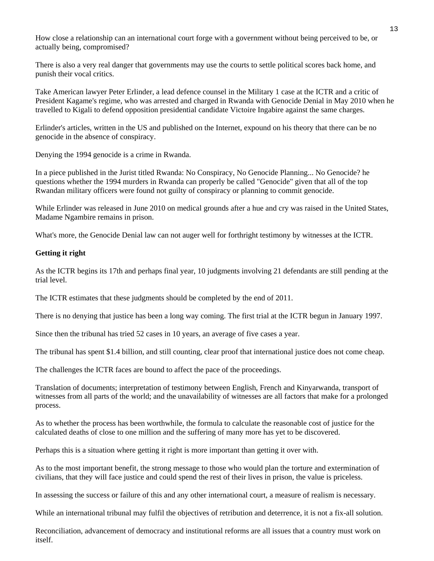How close a relationship can an international court forge with a government without being perceived to be, or actually being, compromised?

There is also a very real danger that governments may use the courts to settle political scores back home, and punish their vocal critics.

Take American lawyer Peter Erlinder, a lead defence counsel in the Military 1 case at the ICTR and a critic of President Kagame's regime, who was arrested and charged in Rwanda with Genocide Denial in May 2010 when he travelled to Kigali to defend opposition presidential candidate Victoire Ingabire against the same charges.

Erlinder's articles, written in the US and published on the Internet, expound on his theory that there can be no genocide in the absence of conspiracy.

Denying the 1994 genocide is a crime in Rwanda.

In a piece published in the Jurist titled Rwanda: No Conspiracy, No Genocide Planning... No Genocide? he questions whether the 1994 murders in Rwanda can properly be called "Genocide" given that all of the top Rwandan military officers were found not guilty of conspiracy or planning to commit genocide.

While Erlinder was released in June 2010 on medical grounds after a hue and cry was raised in the United States, Madame Ngambire remains in prison.

What's more, the Genocide Denial law can not auger well for forthright testimony by witnesses at the ICTR.

#### **Getting it right**

As the ICTR begins its 17th and perhaps final year, 10 judgments involving 21 defendants are still pending at the trial level.

The ICTR estimates that these judgments should be completed by the end of 2011.

There is no denying that justice has been a long way coming. The first trial at the ICTR begun in January 1997.

Since then the tribunal has tried 52 cases in 10 years, an average of five cases a year.

The tribunal has spent \$1.4 billion, and still counting, clear proof that international justice does not come cheap.

The challenges the ICTR faces are bound to affect the pace of the proceedings.

Translation of documents; interpretation of testimony between English, French and Kinyarwanda, transport of witnesses from all parts of the world; and the unavailability of witnesses are all factors that make for a prolonged process.

As to whether the process has been worthwhile, the formula to calculate the reasonable cost of justice for the calculated deaths of close to one million and the suffering of many more has yet to be discovered.

Perhaps this is a situation where getting it right is more important than getting it over with.

As to the most important benefit, the strong message to those who would plan the torture and extermination of civilians, that they will face justice and could spend the rest of their lives in prison, the value is priceless.

In assessing the success or failure of this and any other international court, a measure of realism is necessary.

While an international tribunal may fulfil the objectives of retribution and deterrence, it is not a fix-all solution.

Reconciliation, advancement of democracy and institutional reforms are all issues that a country must work on itself.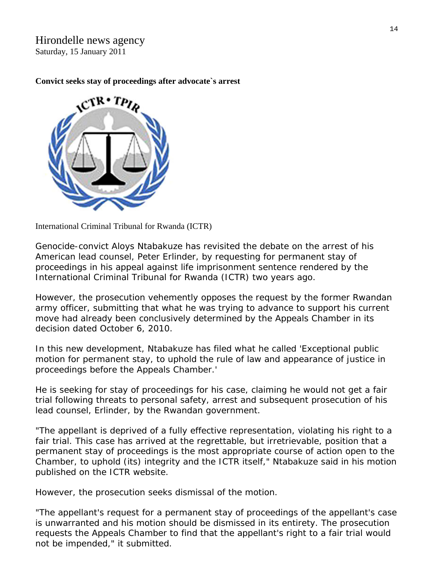Hirondelle news agency Saturday, 15 January 2011

### **Convict seeks stay of proceedings after advocate`s arrest**



International Criminal Tribunal for Rwanda (ICTR)

Genocide-convict Aloys Ntabakuze has revisited the debate on the arrest of his American lead counsel, Peter Erlinder, by requesting for permanent stay of proceedings in his appeal against life imprisonment sentence rendered by the International Criminal Tribunal for Rwanda (ICTR) two years ago.

However, the prosecution vehemently opposes the request by the former Rwandan army officer, submitting that what he was trying to advance to support his current move had already been conclusively determined by the Appeals Chamber in its decision dated October 6, 2010.

In this new development, Ntabakuze has filed what he called 'Exceptional public motion for permanent stay, to uphold the rule of law and appearance of justice in proceedings before the Appeals Chamber.'

He is seeking for stay of proceedings for his case, claiming he would not get a fair trial following threats to personal safety, arrest and subsequent prosecution of his lead counsel, Erlinder, by the Rwandan government.

"The appellant is deprived of a fully effective representation, violating his right to a fair trial. This case has arrived at the regrettable, but irretrievable, position that a permanent stay of proceedings is the most appropriate course of action open to the Chamber, to uphold (its) integrity and the ICTR itself," Ntabakuze said in his motion published on the ICTR website.

However, the prosecution seeks dismissal of the motion.

"The appellant's request for a permanent stay of proceedings of the appellant's case is unwarranted and his motion should be dismissed in its entirety. The prosecution requests the Appeals Chamber to find that the appellant's right to a fair trial would not be impended," it submitted.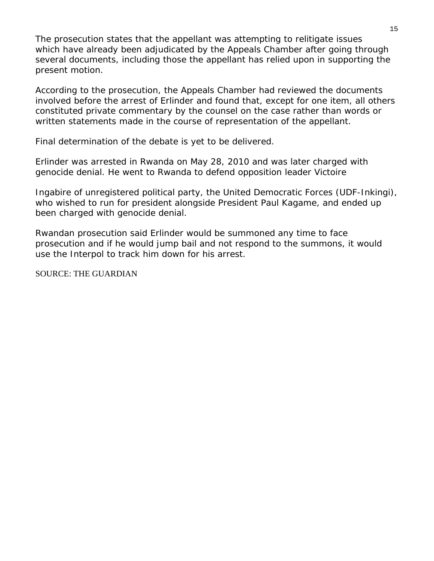The prosecution states that the appellant was attempting to relitigate issues which have already been adjudicated by the Appeals Chamber after going through several documents, including those the appellant has relied upon in supporting the present motion.

According to the prosecution, the Appeals Chamber had reviewed the documents involved before the arrest of Erlinder and found that, except for one item, all others constituted private commentary by the counsel on the case rather than words or written statements made in the course of representation of the appellant.

Final determination of the debate is yet to be delivered.

Erlinder was arrested in Rwanda on May 28, 2010 and was later charged with genocide denial. He went to Rwanda to defend opposition leader Victoire

Ingabire of unregistered political party, the United Democratic Forces (UDF-Inkingi), who wished to run for president alongside President Paul Kagame, and ended up been charged with genocide denial.

Rwandan prosecution said Erlinder would be summoned any time to face prosecution and if he would jump bail and not respond to the summons, it would use the Interpol to track him down for his arrest.

SOURCE: THE GUARDIAN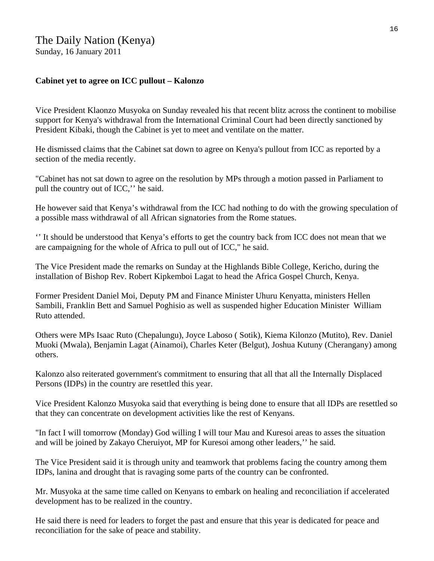# **Cabinet yet to agree on ICC pullout – Kalonzo**

Vice President Klaonzo Musyoka on Sunday revealed his that recent blitz across the continent to mobilise support for Kenya's withdrawal from the International Criminal Court had been directly sanctioned by President Kibaki, though the Cabinet is yet to meet and ventilate on the matter.

He dismissed claims that the Cabinet sat down to agree on Kenya's pullout from ICC as reported by a section of the media recently.

"Cabinet has not sat down to agree on the resolution by MPs through a motion passed in Parliament to pull the country out of ICC,'' he said.

He however said that Kenya's withdrawal from the ICC had nothing to do with the growing speculation of a possible mass withdrawal of all African signatories from the Rome statues.

'' It should be understood that Kenya's efforts to get the country back from ICC does not mean that we are campaigning for the whole of Africa to pull out of ICC," he said.

The Vice President made the remarks on Sunday at the Highlands Bible College, Kericho, during the installation of Bishop Rev. Robert Kipkemboi Lagat to head the Africa Gospel Church, Kenya.

Former President Daniel Moi, Deputy PM and Finance Minister Uhuru Kenyatta, ministers Hellen Sambili, Franklin Bett and Samuel Poghisio as well as suspended higher Education Minister William Ruto attended.

Others were MPs Isaac Ruto (Chepalungu), Joyce Laboso ( Sotik), Kiema Kilonzo (Mutito), Rev. Daniel Muoki (Mwala), Benjamin Lagat (Ainamoi), Charles Keter (Belgut), Joshua Kutuny (Cherangany) among others.

Kalonzo also reiterated government's commitment to ensuring that all that all the Internally Displaced Persons (IDPs) in the country are resettled this year.

Vice President Kalonzo Musyoka said that everything is being done to ensure that all IDPs are resettled so that they can concentrate on development activities like the rest of Kenyans.

"In fact I will tomorrow (Monday) God willing I will tour Mau and Kuresoi areas to asses the situation and will be joined by Zakayo Cheruiyot, MP for Kuresoi among other leaders,'' he said.

The Vice President said it is through unity and teamwork that problems facing the country among them IDPs, lanina and drought that is ravaging some parts of the country can be confronted.

Mr. Musyoka at the same time called on Kenyans to embark on healing and reconciliation if accelerated development has to be realized in the country.

He said there is need for leaders to forget the past and ensure that this year is dedicated for peace and reconciliation for the sake of peace and stability.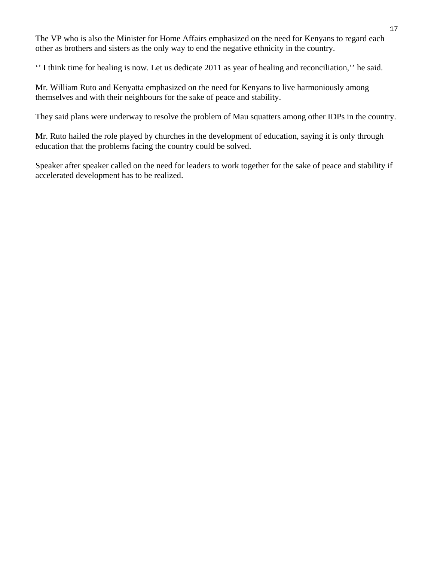The VP who is also the Minister for Home Affairs emphasized on the need for Kenyans to regard each other as brothers and sisters as the only way to end the negative ethnicity in the country.

'' I think time for healing is now. Let us dedicate 2011 as year of healing and reconciliation,'' he said.

Mr. William Ruto and Kenyatta emphasized on the need for Kenyans to live harmoniously among themselves and with their neighbours for the sake of peace and stability.

They said plans were underway to resolve the problem of Mau squatters among other IDPs in the country.

Mr. Ruto hailed the role played by churches in the development of education, saying it is only through education that the problems facing the country could be solved.

Speaker after speaker called on the need for leaders to work together for the sake of peace and stability if accelerated development has to be realized.